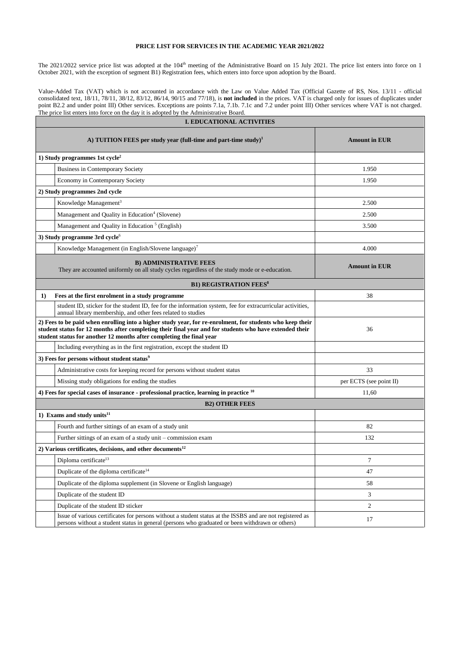## **PRICE LIST FOR SERVICES IN THE ACADEMIC YEAR 2021/2022**

The 2021/2022 service price list was adopted at the 104<sup>th</sup> meeting of the Administrative Board on 15 July 2021. The price list enters into force on 1 October 2021, with the exception of segment B1) Registration fees, which enters into force upon adoption by the Board.

Value-Added Tax (VAT) which is not accounted in accordance with the Law on Value Added Tax (Official Gazette of RS, Nos. 13/11 - official consolidated text, 18/11, 78/11, 38/12, 83/12, 86/14, 90/15 and 77/18), is **not included** in the prices. VAT is charged only for issues of duplicates under point B2.2 and under point III) Other services. Exceptions are points 7.1a, 7.1b. 7.1c and 7.2 under point III) Other services where VAT is not charged. The price list enters into force on the day it is adopted by the Administrative Board.

| <b>I. EDUCATIONAL ACTIVITIES</b>                                                                                                                                                                                                                                                             |                         |  |  |  |  |  |  |
|----------------------------------------------------------------------------------------------------------------------------------------------------------------------------------------------------------------------------------------------------------------------------------------------|-------------------------|--|--|--|--|--|--|
| A) TUITION FEES per study year (full-time and part-time study) <sup>1</sup>                                                                                                                                                                                                                  | <b>Amount in EUR</b>    |  |  |  |  |  |  |
| 1) Study programmes 1st $cycle2$                                                                                                                                                                                                                                                             |                         |  |  |  |  |  |  |
| <b>Business in Contemporary Society</b>                                                                                                                                                                                                                                                      | 1.950                   |  |  |  |  |  |  |
| Economy in Contemporary Society                                                                                                                                                                                                                                                              | 1.950                   |  |  |  |  |  |  |
| 2) Study programmes 2nd cycle                                                                                                                                                                                                                                                                |                         |  |  |  |  |  |  |
| Knowledge Management <sup>3</sup>                                                                                                                                                                                                                                                            | 2.500                   |  |  |  |  |  |  |
| Management and Quality in Education <sup>4</sup> (Slovene)                                                                                                                                                                                                                                   | 2.500                   |  |  |  |  |  |  |
| Management and Quality in Education <sup>5</sup> (English)                                                                                                                                                                                                                                   | 3.500                   |  |  |  |  |  |  |
| 3) Study programme 3rd cycle <sup>6</sup>                                                                                                                                                                                                                                                    |                         |  |  |  |  |  |  |
| Knowledge Management (in English/Slovene language) <sup>7</sup>                                                                                                                                                                                                                              | 4.000                   |  |  |  |  |  |  |
| <b>B) ADMINISTRATIVE FEES</b><br>They are accounted uniformly on all study cycles regardless of the study mode or e-education.                                                                                                                                                               | <b>Amount in EUR</b>    |  |  |  |  |  |  |
| <b>B1) REGISTRATION FEES<sup>8</sup></b>                                                                                                                                                                                                                                                     |                         |  |  |  |  |  |  |
| 1)<br>Fees at the first enrolment in a study programme                                                                                                                                                                                                                                       | 38                      |  |  |  |  |  |  |
| student ID, sticker for the student ID, fee for the information system, fee for extracurricular activities,<br>annual library membership, and other fees related to studies                                                                                                                  |                         |  |  |  |  |  |  |
| 2) Fees to be paid when enrolling into a higher study year, for re-enrolment, for students who keep their<br>student status for 12 months after completing their final year and for students who have extended their<br>student status for another 12 months after completing the final year | 36                      |  |  |  |  |  |  |
| Including everything as in the first registration, except the student ID                                                                                                                                                                                                                     |                         |  |  |  |  |  |  |
| 3) Fees for persons without student status <sup>9</sup>                                                                                                                                                                                                                                      |                         |  |  |  |  |  |  |
| Administrative costs for keeping record for persons without student status                                                                                                                                                                                                                   | 33                      |  |  |  |  |  |  |
| Missing study obligations for ending the studies                                                                                                                                                                                                                                             | per ECTS (see point II) |  |  |  |  |  |  |
| 4) Fees for special cases of insurance - professional practice, learning in practice <sup>10</sup>                                                                                                                                                                                           | 11,60                   |  |  |  |  |  |  |
| <b>B2) OTHER FEES</b>                                                                                                                                                                                                                                                                        |                         |  |  |  |  |  |  |
| 1) Exams and study units $11$                                                                                                                                                                                                                                                                |                         |  |  |  |  |  |  |
| Fourth and further sittings of an exam of a study unit                                                                                                                                                                                                                                       | 82                      |  |  |  |  |  |  |
| Further sittings of an exam of a study unit - commission exam                                                                                                                                                                                                                                | 132                     |  |  |  |  |  |  |
| 2) Various certificates, decisions, and other documents <sup>12</sup>                                                                                                                                                                                                                        |                         |  |  |  |  |  |  |
| Diploma certificate <sup>13</sup>                                                                                                                                                                                                                                                            | 7                       |  |  |  |  |  |  |
| Duplicate of the diploma certificate <sup>14</sup>                                                                                                                                                                                                                                           | 47                      |  |  |  |  |  |  |
| Duplicate of the diploma supplement (in Slovene or English language)                                                                                                                                                                                                                         | 58                      |  |  |  |  |  |  |
| Duplicate of the student ID                                                                                                                                                                                                                                                                  | 3                       |  |  |  |  |  |  |
| Duplicate of the student ID sticker                                                                                                                                                                                                                                                          | $\overline{2}$          |  |  |  |  |  |  |
| Issue of various certificates for persons without a student status at the ISSBS and are not registered as<br>persons without a student status in general (persons who graduated or been withdrawn or others)                                                                                 | 17                      |  |  |  |  |  |  |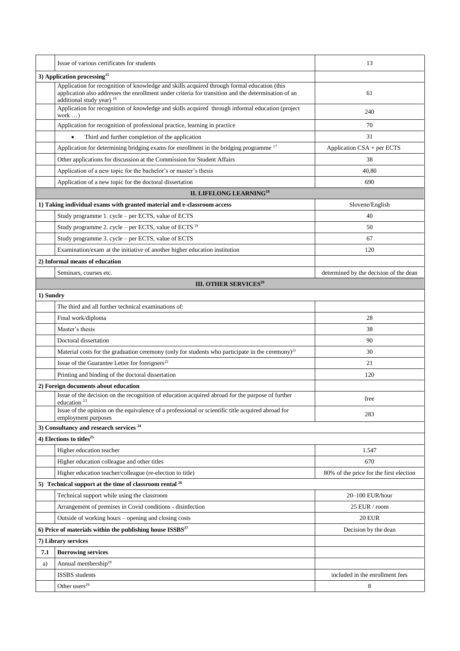|           | Issue of various certificates for students                                                                                                                                                                                        | 13                                      |  |  |  |  |  |  |
|-----------|-----------------------------------------------------------------------------------------------------------------------------------------------------------------------------------------------------------------------------------|-----------------------------------------|--|--|--|--|--|--|
|           | 3) Application processing <sup>15</sup>                                                                                                                                                                                           |                                         |  |  |  |  |  |  |
|           | Application for recognition of knowledge and skills acquired through formal education (this<br>application also addresses the enrollment under criteria for transition and the determination of an<br>additional study year) $16$ | 61                                      |  |  |  |  |  |  |
|           | Application for recognition of knowledge and skills acquired through informal education (project<br>work )                                                                                                                        | 240                                     |  |  |  |  |  |  |
|           | Application for recognition of professional practice, learning in practice                                                                                                                                                        | 70                                      |  |  |  |  |  |  |
|           | Third and further completion of the application<br>$\bullet$                                                                                                                                                                      | 31                                      |  |  |  |  |  |  |
|           | Application for determining bridging exams for enrollment in the bridging programme <sup>17</sup>                                                                                                                                 | Application CSA + per ECTS              |  |  |  |  |  |  |
|           | Other applications for discussion at the Commission for Student Affairs                                                                                                                                                           | 38                                      |  |  |  |  |  |  |
|           | Application of a new topic for the bachelor's or master's thesis                                                                                                                                                                  | 40,80                                   |  |  |  |  |  |  |
|           | Application of a new topic for the doctoral dissertation                                                                                                                                                                          | 690                                     |  |  |  |  |  |  |
|           | <b>II. LIFELONG LEARNING<sup>18</sup></b>                                                                                                                                                                                         |                                         |  |  |  |  |  |  |
|           | 1) Taking individual exams with granted material and e-classroom access                                                                                                                                                           | Slovene/English                         |  |  |  |  |  |  |
|           | Study programme 1. cycle - per ECTS, value of ECTS                                                                                                                                                                                | 40                                      |  |  |  |  |  |  |
|           | Study programme 2. cycle - per ECTS, value of ECTS <sup>19</sup>                                                                                                                                                                  | 50                                      |  |  |  |  |  |  |
|           | Study programme 3. cycle - per ECTS, value of ECTS                                                                                                                                                                                | 67                                      |  |  |  |  |  |  |
|           | Examination/exam at the initiative of another higher education institution                                                                                                                                                        | 120                                     |  |  |  |  |  |  |
|           | 2) Informal means of education                                                                                                                                                                                                    |                                         |  |  |  |  |  |  |
|           | Seminars, courses etc.                                                                                                                                                                                                            | determined by the decision of the dean  |  |  |  |  |  |  |
|           | III. OTHER SERVICES <sup>20</sup>                                                                                                                                                                                                 |                                         |  |  |  |  |  |  |
| 1) Sundry |                                                                                                                                                                                                                                   |                                         |  |  |  |  |  |  |
|           | The third and all further technical examinations of:                                                                                                                                                                              |                                         |  |  |  |  |  |  |
|           | Final work/diploma                                                                                                                                                                                                                | 28                                      |  |  |  |  |  |  |
|           | Master's thesis                                                                                                                                                                                                                   | 38                                      |  |  |  |  |  |  |
|           | Doctoral dissertation                                                                                                                                                                                                             | 90                                      |  |  |  |  |  |  |
|           | Material costs for the graduation ceremony (only for students who participate in the ceremony) $^{21}$                                                                                                                            | 30                                      |  |  |  |  |  |  |
|           | Issue of the Guarantee Letter for foreigners $^{22}$                                                                                                                                                                              | 21                                      |  |  |  |  |  |  |
|           | Printing and binding of the doctoral dissertation                                                                                                                                                                                 | 120                                     |  |  |  |  |  |  |
|           | 2) Foreign documents about education                                                                                                                                                                                              |                                         |  |  |  |  |  |  |
|           | Issue of the decision on the recognition of education acquired abroad for the purpose of further<br>education <sup>23</sup>                                                                                                       | free                                    |  |  |  |  |  |  |
|           | Issue of the opinion on the equivalence of a professional or scientific title acquired abroad for<br>employment purposes                                                                                                          | 283                                     |  |  |  |  |  |  |
|           | 3) Consultancy and research services <sup>24</sup>                                                                                                                                                                                |                                         |  |  |  |  |  |  |
|           | 4) Elections to titles <sup>25</sup>                                                                                                                                                                                              |                                         |  |  |  |  |  |  |
|           | Higher education teacher                                                                                                                                                                                                          | 1.547                                   |  |  |  |  |  |  |
|           | Higher education colleague and other titles                                                                                                                                                                                       | 670                                     |  |  |  |  |  |  |
|           | Higher education teacher/colleague (re-election to title)                                                                                                                                                                         | 80% of the price for the first election |  |  |  |  |  |  |
|           | 5) Technical support at the time of classroom rental $^{26}$                                                                                                                                                                      |                                         |  |  |  |  |  |  |
|           | Technical support while using the classroom                                                                                                                                                                                       | 20-100 EUR/hour                         |  |  |  |  |  |  |
|           | Arrangement of premises in Covid conditions - disinfection                                                                                                                                                                        | 25 EUR / room                           |  |  |  |  |  |  |
|           | Outside of working hours - opening and closing costs                                                                                                                                                                              | <b>20 EUR</b>                           |  |  |  |  |  |  |
|           | 6) Price of materials within the publishing house $ISSBS^{27}$                                                                                                                                                                    | Decision by the dean                    |  |  |  |  |  |  |
|           | 7) Library services                                                                                                                                                                                                               |                                         |  |  |  |  |  |  |
| 7.1       | <b>Borrowing services</b>                                                                                                                                                                                                         |                                         |  |  |  |  |  |  |
| a)        | Annual membership <sup>28</sup>                                                                                                                                                                                                   |                                         |  |  |  |  |  |  |
|           | ISSBS students                                                                                                                                                                                                                    | included in the enrollment fees         |  |  |  |  |  |  |
|           | Other users <sup>29</sup>                                                                                                                                                                                                         | 8                                       |  |  |  |  |  |  |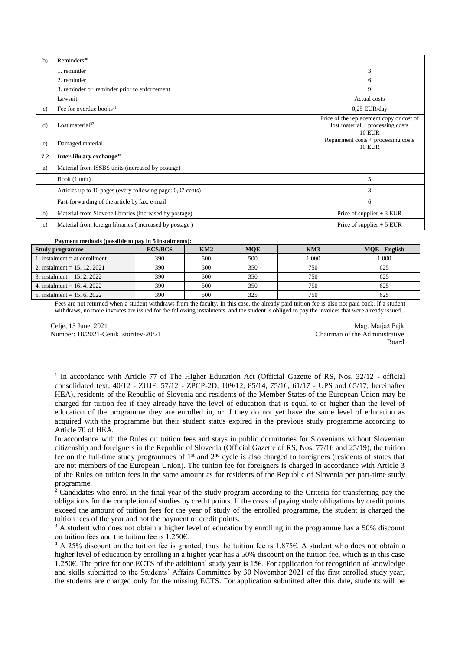| b)                                | Reminders <sup>30</sup>                                    |                                                                                                 |  |
|-----------------------------------|------------------------------------------------------------|-------------------------------------------------------------------------------------------------|--|
|                                   | 1. reminder                                                | 3                                                                                               |  |
|                                   | 2. reminder                                                | 6                                                                                               |  |
|                                   | 3. reminder or reminder prior to enforcement               | 9                                                                                               |  |
|                                   | Lawsuit                                                    | Actual costs                                                                                    |  |
| c)                                | Fee for overdue books <sup>31</sup>                        | 0,25 EUR/day                                                                                    |  |
| Lost material <sup>32</sup><br>d) |                                                            | Price of the replacement copy or cost of<br>$lost material + processing costs$<br><b>10 EUR</b> |  |
| e)                                | Damaged material                                           | Repairment $costs + processing costs$<br><b>10 EUR</b>                                          |  |
| 7.2                               | Inter-library exchange <sup>33</sup>                       |                                                                                                 |  |
| a)                                | Material from ISSBS units (increased by postage)           |                                                                                                 |  |
|                                   | Book (1 unit)                                              | 5                                                                                               |  |
|                                   | Articles up to 10 pages (every following page: 0,07 cents) | 3                                                                                               |  |
|                                   | Fast-forwarding of the article by fax, e-mail              | 6                                                                                               |  |
| b)                                | Material from Slovene libraries (increased by postage)     | Price of supplier $+3$ EUR                                                                      |  |
| $\mathbf{c}$ )                    | Material from foreign libraries (increased by postage)     | Price of supplier $+5$ EUR                                                                      |  |

## **Payment methods (possible to pay in 5 instalments):**

| <b>Study programme</b>        | <b>ECS/BCS</b> | KM2 | <b>MOE</b> | KM3   | MQE - English |
|-------------------------------|----------------|-----|------------|-------|---------------|
| 1. instalment = at enrollment | 390            | 500 | 500        | 1.000 | 1.000         |
| 2. instalment = $15.12.2021$  | 390            | 500 | 350        | 750   | 625           |
| 3. instalment = $15.2.2022$   | 390            | 500 | 350        | 750   | 625           |
| 4. instalment = $16.4.2022$   | 390            | 500 | 350        | 750   | 625           |
| 5. instalment = $15.6$ , 2022 | 390            | 500 | 325        | 750   | 625           |

Fees are not returned when a student withdraws from the faculty. In this case, the already paid tuition fee is also not paid back. If a student withdraws, no more invoices are issued for the following instalments, and the student is obliged to pay the invoices that were already issued.

Celje, 15 June, 2021 Number: 18/2021-Cenik\_storitev-20/21

 $\overline{a}$ 

Mag. Matjaž Pajk Chairman of the Administrative Board

<sup>&</sup>lt;sup>1</sup> In accordance with Article 77 of The Higher Education Act (Official Gazette of RS, Nos. 32/12 - official consolidated text, 40/12 - ZUJF, 57/12 - ZPCP-2D, 109/12, 85/14, 75/16, 61/17 - UPS and 65/17; hereinafter HEA), residents of the Republic of Slovenia and residents of the Member States of the European Union may be charged for tuition fee if they already have the level of education that is equal to or higher than the level of education of the programme they are enrolled in, or if they do not yet have the same level of education as acquired with the programme but their student status expired in the previous study programme according to Article 70 of HEA.

In accordance with the Rules on tuition fees and stays in public dormitories for Slovenians without Slovenian citizenship and foreigners in the Republic of Slovenia (Official Gazette of RS, Nos. 77/16 and 25/19), the tuition fee on the full-time study programmes of 1st and 2nd cycle is also charged to foreigners (residents of states that are not members of the European Union). The tuition fee for foreigners is charged in accordance with Article 3 of the Rules on tuition fees in the same amount as for residents of the Republic of Slovenia per part-time study programme.

<sup>&</sup>lt;sup>2</sup> Candidates who enrol in the final year of the study program according to the Criteria for transferring pay the obligations for the completion of studies by credit points. If the costs of paying study obligations by credit points exceed the amount of tuition fees for the year of study of the enrolled programme, the student is charged the tuition fees of the year and not the payment of credit points.

<sup>&</sup>lt;sup>3</sup> A student who does not obtain a higher level of education by enrolling in the programme has a 50% discount on tuition fees and the tuition fee is 1.250€.

<sup>4</sup> A 25% discount on the tuition fee is granted, thus the tuition fee is 1.875€. A student who does not obtain a higher level of education by enrolling in a higher year has a 50% discount on the tuition fee, which is in this case 1.250€. The price for one ECTS of the additional study year is 15€. For application for recognition of knowledge and skills submitted to the Students' Affairs Committee by 30 November 2021 of the first enrolled study year, the students are charged only for the missing ECTS. For application submitted after this date, students will be